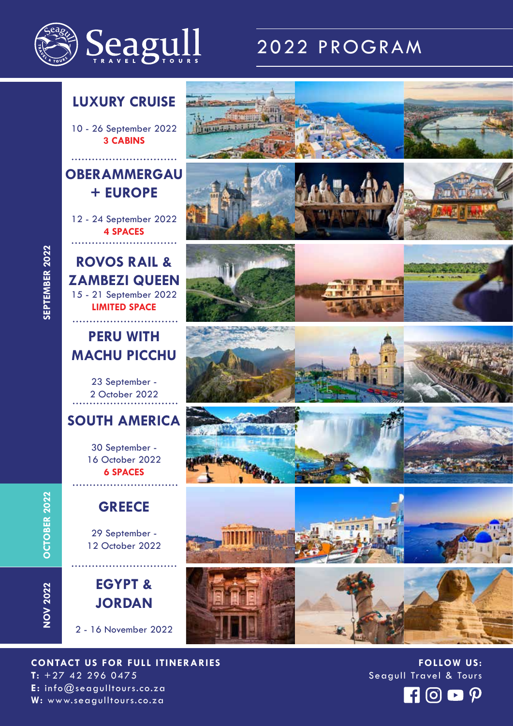

## 2022 PROGRAM



10 - 26 September 2022 **3 CABINS**

#### **OBERAMMERGAU + EUROPE**

12 - 24 September 2022 **4 SPACES**

**ROVOS RAIL & ZAMBEZI QUEEN** 15 - 21 September 2022 **LIMITED SPACE**

#### **PERU WITH MACHU PICCHU**

23 September - 2 October 2022

#### **SOUTH AMERICA**

30 September - 16 October 2022 **6 SPACES**

#### **GREECE**

29 September - 12 October 2022

**EGYPT & JORDAN**

2 - 16 November 2022

**CONTACT US FOR FULL ITINERARIES T:** +27 42 296 0475 **E:** info@seagulltours.co.za **W:** www.seagulltours.co.za





**FOLLOW US:** Seagull Travel & Tours



**OCTOBER 2022 OCTOBER 2022**

**NOV 2022**

**NOV 2022**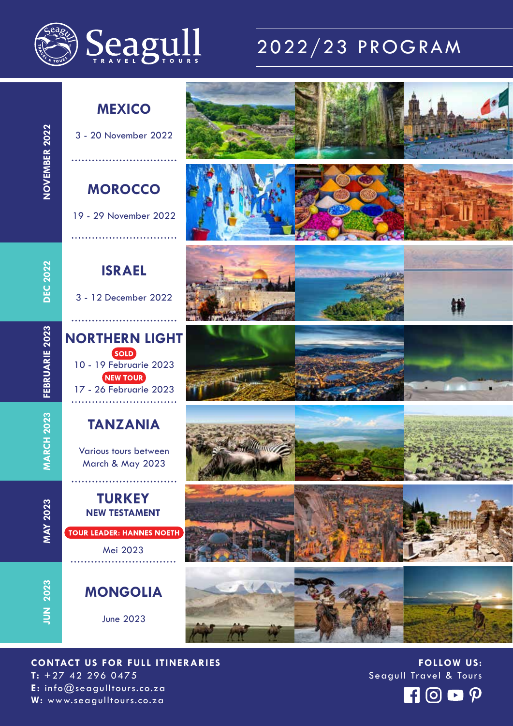

# 2022/23 PROGRAM

#### **MEXICO**

3 - 20 November 2022

#### **MOROCCO**

19 - 29 November 2022

**ISRAEL**

3 - 12 December 2022

**NORTHERN LIGHT**

10 - 19 Februarie 2023

SOLD

17 - 26 Februarie 2023

**NEW TOUR** 

**TANZANIA**

Various tours between

March & May 2023

**TURKEY NEW TESTAMENT**

Mei 2023

**TOUR LEADER: HANNES NOETH** 

**DEC 2022 DEC 2022**

FEBRUARIE 2023 **FEBRUARIE 2023**

**MARCH 2023 MARCH 2023**

**MAY 2023 MAY 2023**

**JUN 2023 JUN 2023**

# **MONGOLIA**

June 2023

















**FOLLOW US:** Seagull Travel & Tours



**CONTACT US FOR FULL ITINERARIES T:** +27 42 296 0475 **E:** info@seagulltours.co.za **W:** www.seagulltours.co.za